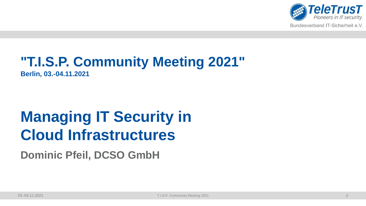

Bundesverband IT-Sicherheit e.V.

## **"T.I.S.P. Community Meeting 2021"**

**Berlin, 03.-04.11.2021**

# **Managing IT Security in Cloud Infrastructures**

**Dominic Pfeil, DCSO GmbH**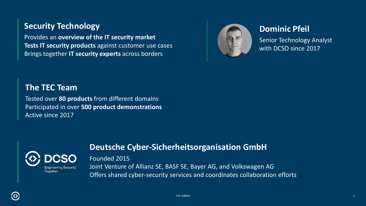### **Security Technology**

Provides an **overview of the IT security market Tests IT security products** against customer use cases Brings together **IT security experts** across borders



### **Dominic Pfeil**

Senior Technology Analyst with DCSO since 2017

### **The TEC Team**

Tested over **80 products** from different domains Participated in over **500 product demonstrations** Active since 2017



### **Deutsche Cyber-Sicherheitsorganisation GmbH**

#### Founded 2015

Joint Venture of Allianz SE, BASF SE, Bayer AG, and Volkswagen AG Offers shared cyber-security services and coordinates collaboration efforts

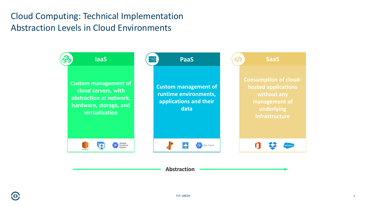### Abstraction Levels in Cloud Environments Cloud Computing: Technical Implementation

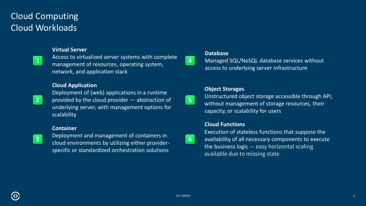### Cloud Workloads Cloud Computing

#### **Virtual Server**

**1**

Access to virtualized server systems with complete management of resources, operating system, network, and application stack

#### **Cloud Application**

**2**

Deployment of (web) applications in a runtime provided by the cloud provider — abstraction of underlying server, with management options for scalability

#### **Container**



Deployment and management of containers in cloud environments by utilizing either providerspecific or standardized orchestration solutions

**4**

**5**

**6**

## **Database**

Managed SQL/NoSQL database services without access to underlying server infrastructure

#### **Object Storages**

Unstructured object storage accessible through API, without management of storage resources, their capacity, or scalability for users

#### **Cloud Functions**

Execution of stateless functions that suppose the availability of all necessary components to execute the business logic — easy horizontal scaling available due to missing state

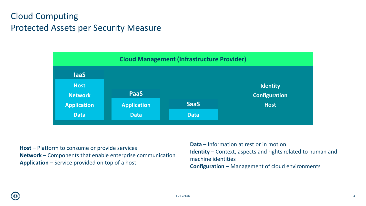### Protected Assets per Security Measure Cloud Computing



**Host** – Platform to consume or provide services **Network** – Components that enable enterprise communication **Application** – Service provided on top of a host

**Data** – Information at rest or in motion **Identity** – Context, aspects and rights related to human and machine identities **Configuration** – Management of cloud environments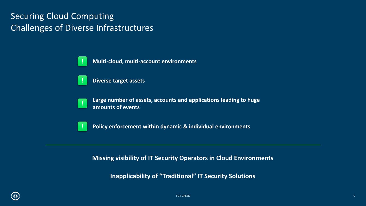### Challenges of Diverse Infrastructures Securing Cloud Computing

**Multi-cloud, multi-account environments**



**!**

**Diverse target assets**



**Large number of assets, accounts and applications leading to huge amounts of events**



**Policy enforcement within dynamic & individual environments**

**Missing visibility of IT Security Operators in Cloud Environments**

**Inapplicability of "Traditional" IT Security Solutions**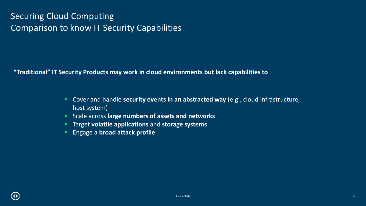### Comparison to know IT Security Capabilities Securing Cloud Computing

**"Traditional" IT Security Products may work in cloud environments but lack capabilities to**

- Cover and handle **security events in an abstracted way** (e.g., cloud infrastructure, host system)
- Scale across large numbers of assets and networks
- Target **volatile applications** and **storage systems**
- **Engage a broad attack profile**

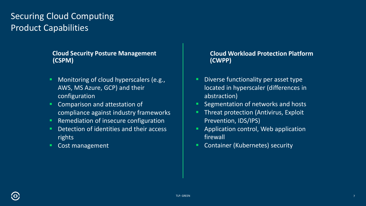### Product Capabilities Securing Cloud Computing

#### **Cloud Security Posture Management Cloud Workload Protection Platform (CSPM) (CWPP)**

- Monitoring of cloud hyperscalers (e.g., AWS, MS Azure, GCP) and their configuration
- Comparison and attestation of compliance against industry frameworks
- Remediation of insecure configuration
- Detection of identities and their access rights
- Cost management

- Diverse functionality per asset type located in hyperscaler (differences in abstraction)
- **E** Segmentation of networks and hosts
- **Threat protection (Antivirus, Exploit** Prevention, IDS/IPS)
- Application control, Web application firewall
- Container (Kubernetes) security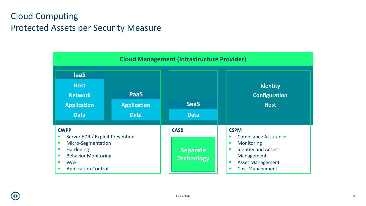### Protected Assets per Security Measure Cloud Computing

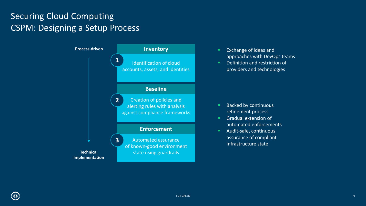### CSPM: Designing a Setup Process Securing Cloud Computing



- Exchange of ideas and approaches with DevOps teams
- Definition and restriction of providers and technologies

- Backed by continuous refinement process
- **■** Gradual extension of automated enforcements
- Audit-safe, continuous assurance of compliant infrastructure state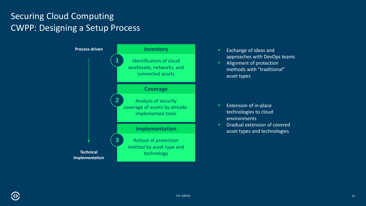### CWPP: Designing a Setup Process Securing Cloud Computing



- Exchange of ideas and approaches with DevOps teams
- **E** Alignment of protection methods with "traditional" asset types

- **Extension of in-place** technologies to cloud environments
- **■** Gradual extension of covered asset types and technologies